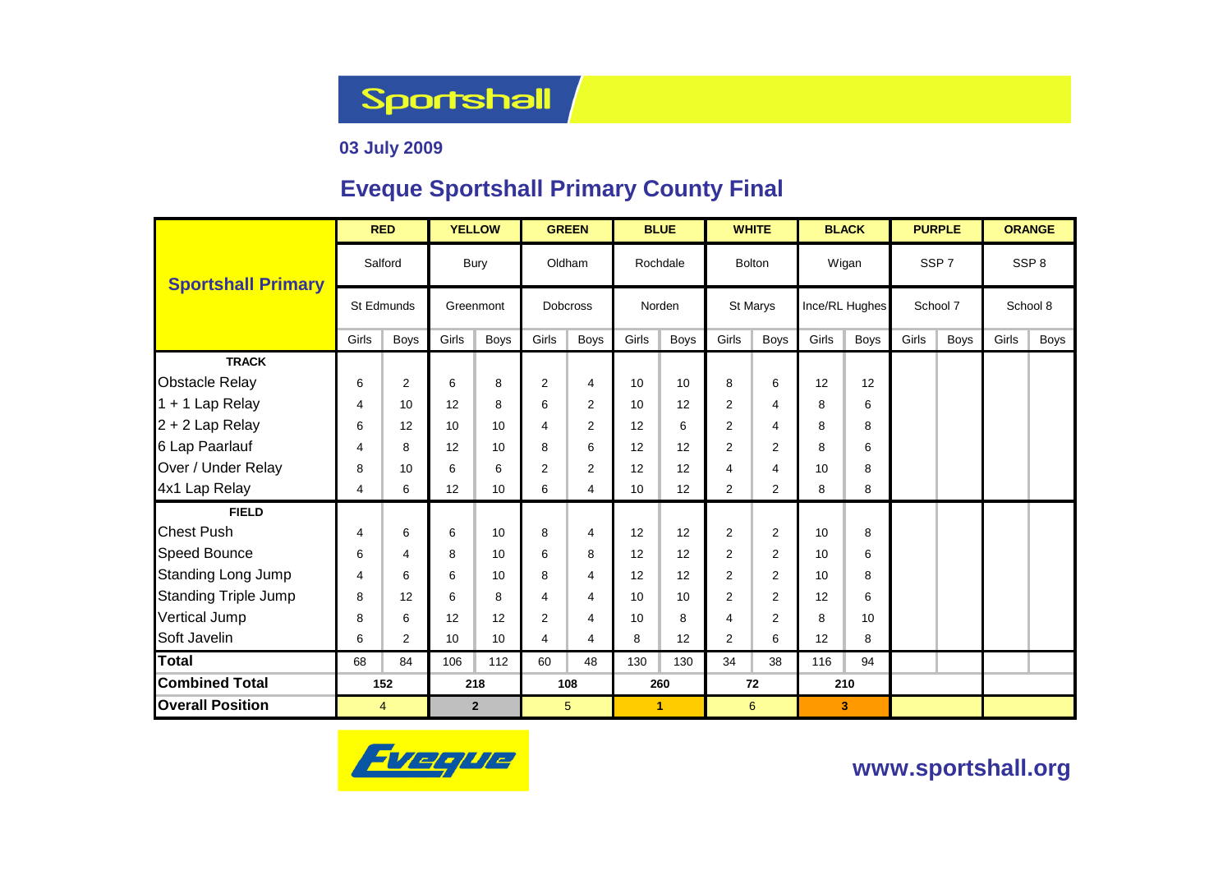**Sportshall** 

### **03 July 2009**

### **Eveque Sportshall Primary County Final**

|                             | <b>RED</b>     |                |           | <b>YELLOW</b> |                         | <b>GREEN</b>   |              | <b>BLUE</b> | <b>WHITE</b>   |                |       | <b>BLACK</b>   |                  | <b>PURPLE</b> | <b>ORANGE</b> |                  |  |
|-----------------------------|----------------|----------------|-----------|---------------|-------------------------|----------------|--------------|-------------|----------------|----------------|-------|----------------|------------------|---------------|---------------|------------------|--|
| <b>Sportshall Primary</b>   |                | Salford        |           | Bury          |                         | Oldham         |              | Rochdale    |                | <b>Bolton</b>  |       | Wigan          | SSP <sub>7</sub> |               |               | SSP <sub>8</sub> |  |
|                             | St Edmunds     |                | Greenmont |               | <b>Dobcross</b>         |                |              | Norden      |                | St Marys       |       | Ince/RL Hughes | School 7         |               |               | School 8         |  |
|                             | Girls          | <b>Boys</b>    | Girls     | <b>Boys</b>   | Girls                   | <b>Boys</b>    | Girls        | <b>Boys</b> | Girls          | <b>Boys</b>    | Girls | Boys           | Girls            | Boys          | Girls         | <b>Boys</b>      |  |
| <b>TRACK</b>                |                |                |           |               |                         |                |              |             |                |                |       |                |                  |               |               |                  |  |
| <b>Obstacle Relay</b>       | 6              | $\overline{2}$ | 6         | 8             | 2                       | 4              | 10           | 10          | 8              | 6              | 12    | 12             |                  |               |               |                  |  |
| 1 + 1 Lap Relay             | 4              | 10             | 12        | 8             | 6                       | 2              | 10           | 12          | 2              | 4              | 8     | 6              |                  |               |               |                  |  |
| 2 + 2 Lap Relay             | 6              | 12             | 10        | 10            | $\overline{4}$          | 2              | 12           | 6           | $\overline{2}$ | 4              | 8     | 8              |                  |               |               |                  |  |
| 6 Lap Paarlauf              | 4              | 8              | 12        | 10            | 8                       | 6              | 12           | 12          | $\overline{2}$ | $\overline{2}$ | 8     | 6              |                  |               |               |                  |  |
| Over / Under Relay          | 8              | 10             | 6         | 6             | $\overline{2}$          | 2              | 12           | 12          | 4              | 4              | 10    | 8              |                  |               |               |                  |  |
| 4x1 Lap Relay               | 4              | 6              | 12        | 10            | 6                       | $\overline{4}$ | 10           | 12          | $\overline{2}$ | $\overline{2}$ | 8     | 8              |                  |               |               |                  |  |
| <b>FIELD</b>                |                |                |           |               |                         |                |              |             |                |                |       |                |                  |               |               |                  |  |
| <b>Chest Push</b>           | $\overline{4}$ | 6              | 6         | 10            | 8                       | 4              | 12           | 12          | $\overline{2}$ | $\overline{2}$ | 10    | 8              |                  |               |               |                  |  |
| <b>Speed Bounce</b>         | 6              | $\overline{4}$ | 8         | 10            | 6                       | 8              | 12           | 12          | $\overline{2}$ | $\overline{2}$ | 10    | 6              |                  |               |               |                  |  |
| <b>Standing Long Jump</b>   | 4              | 6              | 6         | 10            | 8                       | 4              | 12           | 12          | 2              | $\overline{2}$ | 10    | 8              |                  |               |               |                  |  |
| <b>Standing Triple Jump</b> | 8              | 12             | 6         | 8             | $\overline{\mathbf{4}}$ | 4              | 10           | 10          | $\overline{2}$ | $\overline{2}$ | 12    | 6              |                  |               |               |                  |  |
| Vertical Jump               | 8              | 6              | 12        | 12            | $\overline{2}$          | $\overline{4}$ | 10           | 8           | 4              | $\overline{2}$ | 8     | 10             |                  |               |               |                  |  |
| Soft Javelin                | 6              | 2              | 10        | 10            | 4                       | 4              | 8            | 12          | 2              | 6              | 12    | 8              |                  |               |               |                  |  |
| <b>Total</b>                | 68             | 84             | 106       | 112           | 60                      | 48             | 130          | 130         | 34             | 38             | 116   | 94             |                  |               |               |                  |  |
| <b>Combined Total</b>       | 152            |                | 218       |               | 108                     |                | 260          |             | 72             |                |       | 210            |                  |               |               |                  |  |
| <b>Overall Position</b>     |                | 4              |           | $\mathbf{2}$  | 5                       |                | $\mathbf{1}$ |             | 6              |                |       | 3              |                  |               |               |                  |  |



**www.sportshall.org**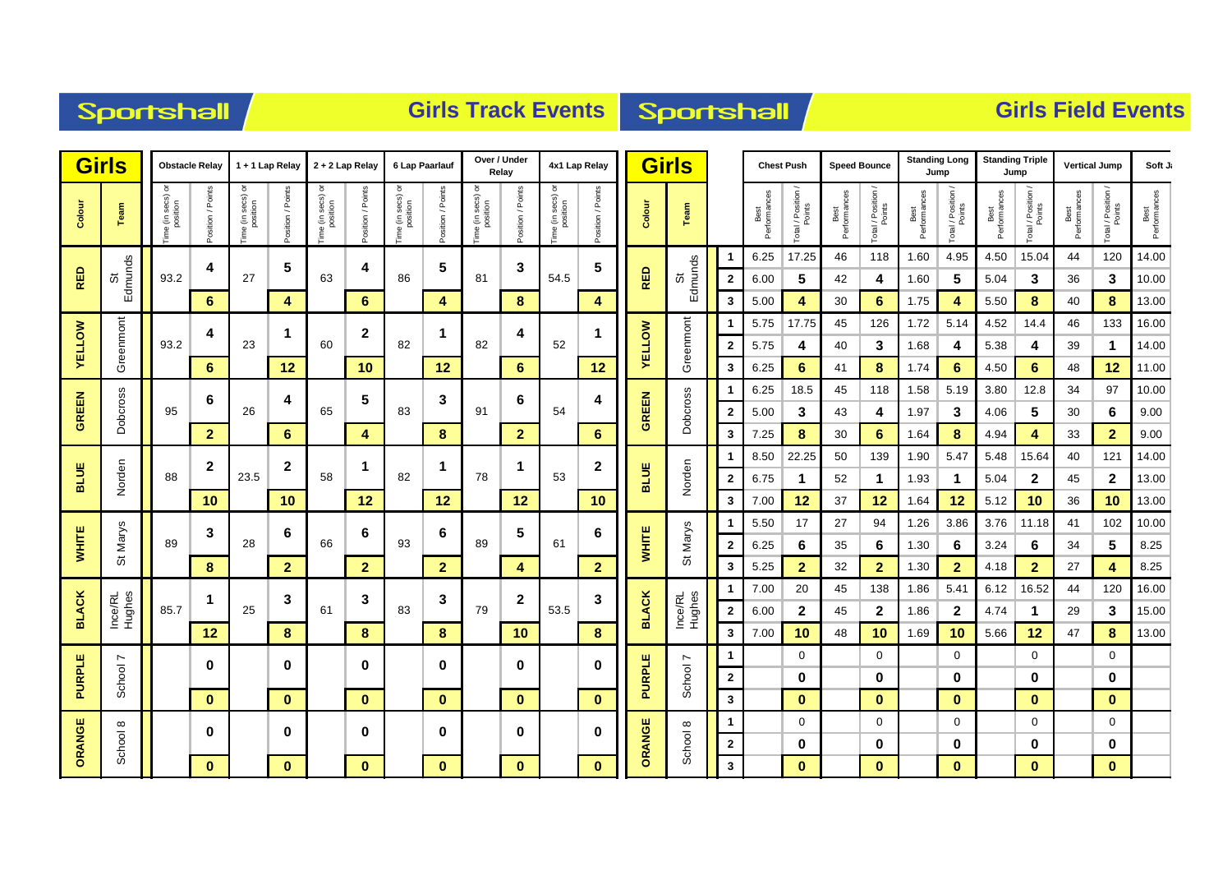# Sportshall

### **Girls Track Events Sportshall**

|               | <b>Girls</b>      |                                | <b>Obstacle Relay</b> |                                    | 1 + 1 Lap Relay   |                                     | 2 + 2 Lap Relay   |                               | 6 Lap Paarlauf    |                        | Over / Under<br>Relay |                               | 4x1 Lap Relay     |               | <b>Girls</b>      |                              | <b>Chest Push</b>    |                              | <b>Speed Bounce</b>  |                    | <b>Standing Long</b><br>Jump |                              | <b>Standing Triple</b><br>Jump |                    | <b>Vertical Jump</b> |                    | Soft Ji              |
|---------------|-------------------|--------------------------------|-----------------------|------------------------------------|-------------------|-------------------------------------|-------------------|-------------------------------|-------------------|------------------------|-----------------------|-------------------------------|-------------------|---------------|-------------------|------------------------------|----------------------|------------------------------|----------------------|--------------------|------------------------------|------------------------------|--------------------------------|--------------------|----------------------|--------------------|----------------------|
| Colour        | Team              | ō<br>e (in secs) o<br>position | Position / Points     | e (in secs) or<br>position<br>Time | Position / Points | e (in secs) or<br>position<br>e (in | Position / Points | Time (in secs) or<br>position | Position / Points | ᅙ<br>Time (in secs) or | Position / Points     | Time (in secs) or<br>position | Position / Points | Colour        | Team              |                              | Best<br>Performances | Total / Position /<br>Points | Best<br>Performances | Total / Position / | Best<br>Performances         | Total / Position /<br>Points | Performances<br>Best           | Total / Position / | Best<br>Performances | Total / Position / | Best<br>Performances |
|               |                   |                                | 4                     |                                    | 5                 |                                     | 4                 |                               | 5                 |                        | 3                     | 54.5                          | 5                 |               |                   |                              | 6.25                 | 17.25                        | 46                   | 118                | 1.60                         | 4.95                         | 4.50                           | 15.04              | 44                   | 120                | 14.00                |
| <b>RED</b>    | Edmunds<br>ö      | 93.2                           |                       | 27                                 |                   | 63                                  |                   | 86                            |                   | 81                     |                       |                               |                   | <b>RED</b>    | Edmunds<br>ö      | $\mathbf{2}$                 | 6.00                 | 5                            | 42                   | 4                  | 1.60                         | 5                            | 5.04                           | 3                  | 36                   | 3                  | 10.00                |
|               |                   |                                | 6                     |                                    | 4                 |                                     | 6                 |                               | 4                 |                        | 8                     |                               | 4                 |               |                   | $\mathbf{3}$                 | 5.00                 | 4                            | 30                   | 6                  | 1.75                         | 4                            | 5.50                           | 8                  | 40                   | 8                  | 13.00                |
| <b>AELLOM</b> | Greenmont         | 93.2                           | 4                     | 23                                 | $\mathbf 1$       | 60                                  | $\mathbf 2$       | 82                            | $\mathbf{1}$      | 82                     | 4                     | 52                            | $\mathbf{1}$      |               | Greenmont         | $\overline{2}$               | 5.75<br>5.75         | 17.75                        | 45<br>40             | 126<br>3           | 1.72<br>1.68                 | 5.14<br>4                    | 4.52<br>5.38                   | 14.4               | 46<br>39             | 133<br>1           | 16.00<br>14.00       |
|               |                   |                                | 6                     |                                    | 12                |                                     | 10                |                               | 12                |                        | 6                     |                               | 12                | <b>AELLOM</b> |                   | 3                            | 6.25                 | 4<br>6                       | 41                   | 8                  | 1.74                         | 6                            | 4.50                           | 4<br>6             | 48                   | 12                 | 11.00                |
|               |                   | 95                             |                       |                                    |                   |                                     |                   |                               |                   |                        |                       | 54                            |                   | <b>GREEN</b>  |                   | 1                            | 6.25                 | 18.5                         | 45                   | 118                | 1.58                         | 5.19                         | 3.80                           | 12.8               | 34                   | 97                 | 10.00                |
| <b>GREEN</b>  | Dobcross          |                                | 6                     | 26                                 | 4                 | 65                                  | 5                 | 83                            | $\mathbf 3$       | 91                     | 6                     |                               | 4                 |               | Dobcross          | $\mathbf{2}$                 | 5.00                 | 3                            | 43                   | 4                  | 1.97                         | 3                            | 4.06                           | 5                  | 30                   | 6                  | 9.00                 |
|               |                   |                                | $\overline{2}$        |                                    | 6                 | 4                                   |                   | 8                             | $\mathbf{2}$      |                        | 6                     |                               |                   | $\mathbf{3}$  | 7.25              | 8                            | 30                   | 6                            | 1.64                 | 8                  | 4.94                         | $\overline{4}$               | 33                             | $\overline{2}$     | 9.00                 |                    |                      |
|               | Norden            |                                |                       |                                    |                   |                                     |                   |                               |                   |                        |                       |                               |                   |               |                   | -1                           | 8.50                 | 22.25                        | 50                   | 139                | 1.90                         | 5.47                         | 5.48                           | 15.64              | 40                   | 121                | 14.00                |
| <b>BLUE</b>   |                   | 88                             | $\boldsymbol{2}$      | 23.5                               | $\mathbf 2$       | 58                                  | 1                 | 82                            | $\mathbf{1}$      | 78                     | 1                     | 53                            | $\boldsymbol{2}$  | <b>BLUE</b>   | Norden            | $\mathbf{2}$                 | 6.75                 | 1                            | 52                   | $\mathbf 1$        | 1.93                         | 1                            | 5.04                           | $\mathbf{2}$       | 45                   | $\mathbf{2}$       | 13.00                |
|               |                   |                                | 10                    |                                    | 10                |                                     | 12                |                               | 12                | 12                     |                       |                               | 10                |               |                   | 3                            | 7.00                 | 12                           | 37                   | 12                 | 1.64                         | 12                           | 5.12                           | 10                 | 36                   | 10                 | 13.00                |
|               |                   |                                | 3                     |                                    | 6                 |                                     | 6                 |                               |                   |                        | 5                     |                               | 6                 |               |                   | 1                            | 5.50                 | 17                           | 27                   | 94                 | 1.26                         | 3.86                         | 3.76                           | 11.18              | 41                   | 102                | 10.00                |
| <b>WHITE</b>  | St Marys          | 89                             |                       | 28                                 |                   | 66                                  |                   | 93                            | 6                 | 89                     |                       | 61                            |                   | <b>WHITE</b>  | St Marys          | $\mathbf{2}$                 | 6.25                 | 6                            | 35                   | 6                  | 1.30                         | 6                            | 3.24                           | 6                  | 34                   | 5                  | 8.25                 |
|               |                   |                                | 8                     |                                    | $\overline{2}$    |                                     | $\overline{2}$    |                               | $\overline{2}$    |                        | 4                     |                               | $\overline{2}$    |               |                   | 3                            | 5.25                 | $\mathbf{2}$                 | 32                   | $\mathbf{2}$       | 1.30                         | $\mathbf{2}$                 | 4.18                           | $\overline{2}$     | 27                   | 4                  | 8.25                 |
|               |                   |                                | $\mathbf 1$           |                                    | 3                 |                                     | 3                 |                               | 3                 |                        | $\mathbf{2}$          |                               | 3                 |               |                   |                              | 7.00                 | 20                           | 45                   | 138                | 1.86                         | 5.41                         | 6.12                           | 16.52              | 44                   | 120                | 16.00                |
| <b>BLACK</b>  | Ince/RL<br>Hughes | 85.7                           |                       | 25                                 |                   | 61                                  |                   | 83                            |                   | 79                     |                       | 53.5                          |                   | <b>BLACK</b>  | Ince/RL<br>Hughes | $\mathbf{2}$                 | 6.00                 | $\mathbf{2}$                 | 45                   | $\mathbf 2$        | 1.86                         | $\mathbf{2}$                 | 4.74                           | $\mathbf{1}$       | 29                   | 3                  | 15.00                |
|               |                   |                                | 12                    |                                    | 8                 |                                     | 8                 |                               | 8                 |                        | 10                    |                               | 8                 |               |                   | $\mathbf{3}$                 | 7.00                 | 10                           | 48                   | 10                 | 1.69                         | 10                           | 5.66                           | 12                 | 47                   | $\bf8$             | 13.00                |
|               | r                 |                                | 0                     |                                    | $\bf{0}$          |                                     | 0                 |                               | $\bf{0}$          |                        | 0                     |                               | $\mathbf 0$       |               | r                 | 1                            |                      | 0                            |                      | 0                  |                              | 0                            |                                | 0                  |                      | 0                  |                      |
| PURPLE        | School            |                                |                       |                                    |                   |                                     |                   |                               |                   |                        |                       |                               | <b>PURPLE</b>     | School        | $\mathbf 2$       |                              | 0                    |                              | 0                    |                    | 0                            |                              | 0                              |                    | 0                    |                    |                      |
|               |                   |                                | $\mathbf{0}$          |                                    | $\mathbf{0}$      |                                     | $\mathbf 0$       |                               | $\mathbf{0}$      |                        | $\mathbf{0}$          |                               | $\mathbf 0$       |               |                   | $\mathbf{3}$                 |                      | $\mathbf{0}$                 |                      | $\mathbf{0}$       |                              | $\mathbf{0}$                 |                                | $\mathbf{0}$       |                      | $\mathbf{0}$       |                      |
|               | $\infty$          |                                | 0                     |                                    | $\bf{0}$          |                                     | 0                 |                               | $\bf{0}$          |                        | 0                     |                               | $\mathbf 0$       |               | $\infty$          | 1                            |                      | 0                            |                      | 0                  |                              | 0                            |                                | 0                  |                      | 0                  |                      |
| ORANGE        | School            |                                | $\mathbf{0}$          |                                    | $\mathbf{0}$      |                                     | $\mathbf{0}$      |                               | $\mathbf{0}$      |                        | $\mathbf{0}$          |                               | $\mathbf{0}$      | ORANGE        | School            | $\mathbf{2}$<br>$\mathbf{3}$ |                      | 0<br>$\mathbf{0}$            |                      | 0<br>$\mathbf{0}$  |                              | 0<br>$\mathbf{0}$            |                                | 0<br>$\mathbf{0}$  |                      | 0<br>$\mathbf{0}$  |                      |
|               |                   |                                |                       |                                    |                   |                                     |                   |                               |                   |                        |                       |                               |                   |               |                   |                              |                      |                              |                      |                    |                              |                              |                                |                    |                      |                    |                      |